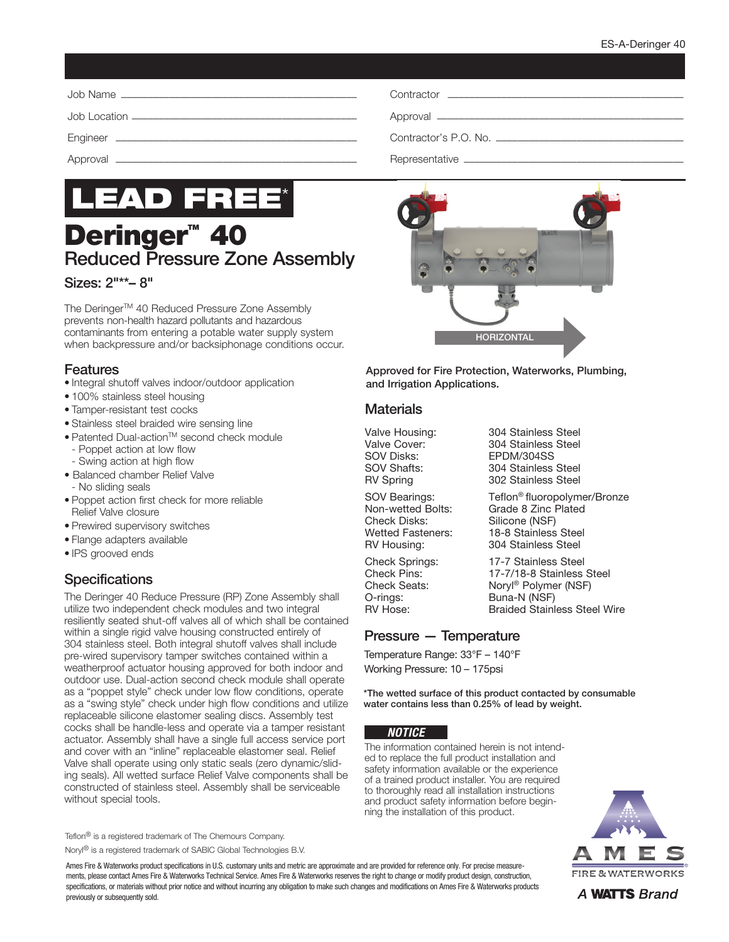| Contractor's P.O. No. |
|-----------------------|
|                       |



# **Deringer<sup>™</sup> 40** Reduced Pressure Zone Assembly

#### Sizes: 2"\*\*– 8"

The Deringer<sup>™</sup> 40 Reduced Pressure Zone Assembly prevents non-health hazard pollutants and hazardous contaminants from entering a potable water supply system when backpressure and/or backsiphonage conditions occur.

#### Features

- Integral shutoff valves indoor/outdoor application
- 100% stainless steel housing
- Tamper-resistant test cocks
- Stainless steel braided wire sensing line
- Patented Dual-actionTM second check module
	- Poppet action at low flow
	- Swing action at high flow
- Balanced chamber Relief Valve - No sliding seals
- Poppet action first check for more reliable Relief Valve closure
- Prewired supervisory switches
- Flange adapters available
- IPS grooved ends

# **Specifications**

The Deringer 40 Reduce Pressure (RP) Zone Assembly shall utilize two independent check modules and two integral resiliently seated shut-off valves all of which shall be contained within a single rigid valve housing constructed entirely of 304 stainless steel. Both integral shutoff valves shall include pre-wired supervisory tamper switches contained within a weatherproof actuator housing approved for both indoor and outdoor use. Dual-action second check module shall operate as a "poppet style" check under low flow conditions, operate as a "swing style" check under high flow conditions and utilize replaceable silicone elastomer sealing discs. Assembly test cocks shall be handle-less and operate via a tamper resistant actuator. Assembly shall have a single full access service port and cover with an "inline" replaceable elastomer seal. Relief Valve shall operate using only static seals (zero dynamic/sliding seals). All wetted surface Relief Valve components shall be constructed of stainless steel. Assembly shall be serviceable without special tools.

Teflon® is a registered trademark of The Chemours Company. Noryl® is a registered trademark of SABIC Global Technologies B.V.

Ames Fire & Waterworks product specifications in U.S. customary units and metric are approximate and are provided for reference only. For precise measurements, please contact Ames Fire & Waterworks Technical Service. Ames Fire & Waterworks reserves the right to change or modify product design, construction, specifications, or materials without prior notice and without incurring any obligation to make such changes and modifications on Ames Fire & Waterworks products previously or subsequently sold.



Approved for Fire Protection, Waterworks, Plumbing, and Irrigation Applications.

#### **Materials**

Check Disks: Silicone (NSF)<br>Wetted Fasteners: 18-8 Stainless

O-rings: Buna-N (NSF)<br>RV Hose: Braided Stainl

Valve Housing: 304 Stainless Steel<br>Valve Cover: 304 Stainless Steel Valve Cover: 304 Stainless Steel<br>SOV Disks: EPDM/304SS EPDM/304SS SOV Shafts: 304 Stainless Steel RV Spring 302 Stainless Steel

SOV Bearings: Teflon<sup>®</sup> fluoropolymer/Bronze<br>Non-wetted Bolts: Grade 8 Zinc Plated Grade 8 Zinc Plated 18-8 Stainless Steel RV Housing: 304 Stainless Steel

Check Springs: 17-7 Stainless Steel Check Pins: 17-7/18-8 Stainless Steel Check Seats: Noryl® Polymer (NSF) Braided Stainless Steel Wire

### Pressure — Temperature

Temperature Range: 33°F – 140°F Working Pressure: 10 – 175psi

\*The wetted surface of this product contacted by consumable water contains less than 0.25% of lead by weight.

#### *NOTICE*

The information contained herein is not intended to replace the full product installation and safety information available or the experience of a trained product installer. You are required to thoroughly read all installation instructions and product safety information before beginning the installation of this product.



A **WATTS** Brand